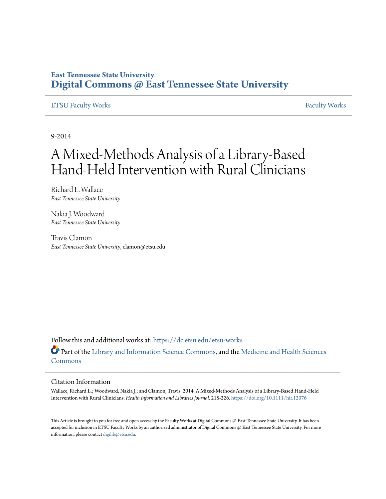### **East Tennessee State University [Digital Commons @ East Tennessee State University](https://dc.etsu.edu?utm_source=dc.etsu.edu%2Fetsu-works%2F3816&utm_medium=PDF&utm_campaign=PDFCoverPages)**

#### [ETSU Faculty Works](https://dc.etsu.edu/etsu-works?utm_source=dc.etsu.edu%2Fetsu-works%2F3816&utm_medium=PDF&utm_campaign=PDFCoverPages) [Faculty Works](https://dc.etsu.edu/faculty-works?utm_source=dc.etsu.edu%2Fetsu-works%2F3816&utm_medium=PDF&utm_campaign=PDFCoverPages) Faculty Works

9-2014

# A Mixed-Methods Analysis of a Library-Based Hand-Held Intervention with Rural Clinicians

Richard L. Wallace *East Tennessee State University*

Nakia J. Woodward *East Tennessee State University*

Travis Clamon *East Tennessee State University*, clamon@etsu.edu

Follow this and additional works at: [https://dc.etsu.edu/etsu-works](https://dc.etsu.edu/etsu-works?utm_source=dc.etsu.edu%2Fetsu-works%2F3816&utm_medium=PDF&utm_campaign=PDFCoverPages) Part of the [Library and Information Science Commons,](http://network.bepress.com/hgg/discipline/1018?utm_source=dc.etsu.edu%2Fetsu-works%2F3816&utm_medium=PDF&utm_campaign=PDFCoverPages) and the [Medicine and Health Sciences](http://network.bepress.com/hgg/discipline/648?utm_source=dc.etsu.edu%2Fetsu-works%2F3816&utm_medium=PDF&utm_campaign=PDFCoverPages) [Commons](http://network.bepress.com/hgg/discipline/648?utm_source=dc.etsu.edu%2Fetsu-works%2F3816&utm_medium=PDF&utm_campaign=PDFCoverPages)

#### Citation Information

Wallace, Richard L.; Woodward, Nakia J.; and Clamon, Travis. 2014. A Mixed-Methods Analysis of a Library-Based Hand-Held Intervention with Rural Clinicians. *Health Information and Libraries Journal*. 215-226. <https://doi.org/10.1111/hir.12076>

This Article is brought to you for free and open access by the Faculty Works at Digital Commons @ East Tennessee State University. It has been accepted for inclusion in ETSU Faculty Works by an authorized administrator of Digital Commons @ East Tennessee State University. For more information, please contact [digilib@etsu.edu.](mailto:digilib@etsu.edu)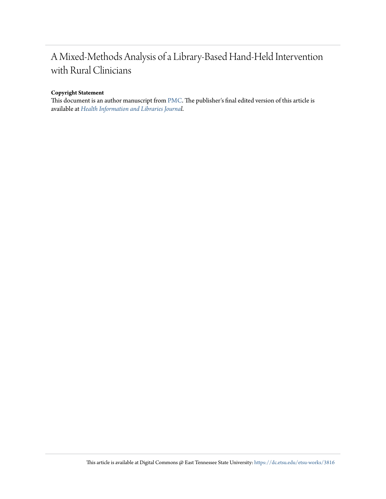## A Mixed-Methods Analysis of a Library-Based Hand-Held Intervention with Rural Clinicians

#### **Copyright Statement**

This document is an author manuscript from [PMC.](https://www.ncbi.nlm.nih.gov/pmc/articles/PMC4203437/) The publisher's final edited version of this article is available at *[Health Information and Libraries Journal](https://doi.org/10.1111/hir.12076)*.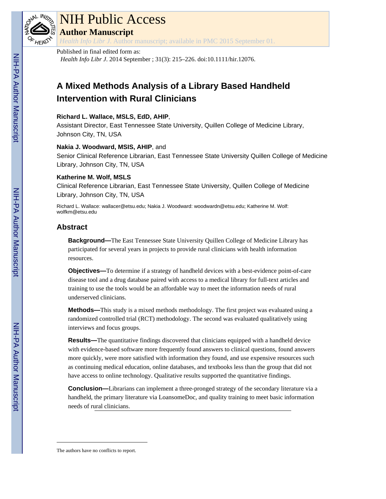

# NIH Public Access

**Author Manuscript**

*Health Info Libr J*. Author manuscript; available in PMC 2015 September 01.

#### Published in final edited form as:

*Health Info Libr J*. 2014 September ; 31(3): 215–226. doi:10.1111/hir.12076.

### **A Mixed Methods Analysis of a Library Based Handheld Intervention with Rural Clinicians**

#### **Richard L. Wallace, MSLS, EdD, AHIP**,

Assistant Director, East Tennessee State University, Quillen College of Medicine Library, Johnson City, TN, USA

#### **Nakia J. Woodward, MSIS, AHIP**, and

Senior Clinical Reference Librarian, East Tennessee State University Quillen College of Medicine Library, Johnson City, TN, USA

#### **Katherine M. Wolf, MSLS**

Clinical Reference Librarian, East Tennessee State University, Quillen College of Medicine Library, Johnson City, TN, USA

Richard L. Wallace: wallacer@etsu.edu; Nakia J. Woodward: woodwardn@etsu.edu; Katherine M. Wolf: wolfkm@etsu.edu

#### **Abstract**

**Background—**The East Tennessee State University Quillen College of Medicine Library has participated for several years in projects to provide rural clinicians with health information resources.

**Objectives—**To determine if a strategy of handheld devices with a best-evidence point-of-care disease tool and a drug database paired with access to a medical library for full-text articles and training to use the tools would be an affordable way to meet the information needs of rural underserved clinicians.

Methods—This study is a mixed methods methodology. The first project was evaluated using a randomized controlled trial (RCT) methodology. The second was evaluated qualitatively using interviews and focus groups.

**Results—**The quantitative findings discovered that clinicians equipped with a handheld device with evidence-based software more frequently found answers to clinical questions, found answers more quickly, were more satisfied with information they found, and use expensive resources such as continuing medical education, online databases, and textbooks less than the group that did not have access to online technology. Qualitative results supported the quantitative findings.

**Conclusion—**Librarians can implement a three-pronged strategy of the secondary literature via a handheld, the primary literature via LoansomeDoc, and quality training to meet basic information needs of rural clinicians.

The authors have no conflicts to report.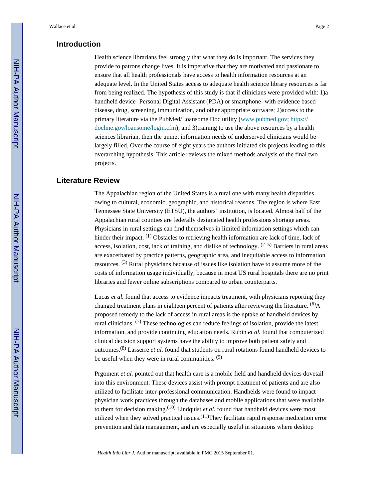#### **Introduction**

Health science librarians feel strongly that what they do is important. The services they provide to patrons change lives. It is imperative that they are motivated and passionate to ensure that all health professionals have access to health information resources at an adequate level. In the United States access to adequate health science library resources is far from being realized. The hypothesis of this study is that if clinicians were provided with: 1)a handheld device- Personal Digital Assistant (PDA) or smartphone- with evidence based disease, drug, screening, immunization, and other appropriate software; 2)access to the primary literature via the PubMed/Loansome Doc utility (www.pubmed.gov; [https://](https://docline.gov/loansome/login.cfm) [docline.gov/loansome/login.cfm](https://docline.gov/loansome/login.cfm)); and 3)training to use the above resources by a health sciences librarian, then the unmet information needs of underserved clinicians would be largely filled. Over the course of eight years the authors initiated six projects leading to this overarching hypothesis. This article reviews the mixed methods analysis of the final two projects.

#### **Literature Review**

The Appalachian region of the United States is a rural one with many health disparities owing to cultural, economic, geographic, and historical reasons. The region is where East Tennessee State University (ETSU), the authors' institution, is located. Almost half of the Appalachian rural counties are federally designated health professions shortage areas. Physicians in rural settings can find themselves in limited information settings which can hinder their impact. <sup>(1)</sup> Obstacles to retrieving health information are lack of time, lack of access, isolation, cost, lack of training, and dislike of technology.  $(2-5)$  Barriers in rural areas are exacerbated by practice patterns, geographic area, and inequitable access to information resources. (3) Rural physicians because of issues like isolation have to assume more of the costs of information usage individually, because in most US rural hospitals there are no print libraries and fewer online subscriptions compared to urban counterparts.

Lucas *et al.* found that access to evidence impacts treatment, with physicians reporting they changed treatment plans in eighteen percent of patients after reviewing the literature.  $^{(6)}$ A proposed remedy to the lack of access in rural areas is the uptake of handheld devices by rural clinicians.  $(7)$  These technologies can reduce feelings of isolation, provide the latest information, and provide continuing education needs. Rubin *et al.* found that computerized clinical decision support systems have the ability to improve both patient safety and outcomes.(8) Lasserre *et al.* found that students on rural rotations found handheld devices to be useful when they were in rural communities.  $(9)$ 

Prgoment *et al.* pointed out that health care is a mobile field and handheld devices dovetail into this environment. These devices assist with prompt treatment of patients and are also utilized to facilitate inter-professional communication. Handhelds were found to impact physician work practices through the databases and mobile applications that were available to them for decision making.(10) Lindquist *et al.* found that handheld devices were most utilized when they solved practical issues. $(11)$ They facilitate rapid response medication error prevention and data management, and are especially useful in situations where desktop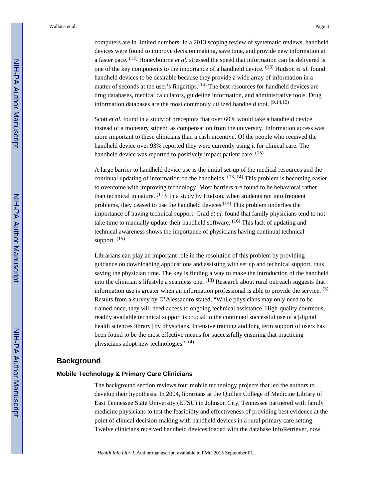computers are in limited numbers. In a 2013 scoping review of systematic reviews, handheld devices were found to improve decision making, save time, and provide new information at a faster pace. (12) Honeybourne *et al.* stressed the speed that information can be delivered is one of the key components to the importance of a handheld device. (13) Hudson *et al.* found handheld devices to be desirable because they provide a wide array of information in a matter of seconds at the user's fingertips. $(14)$  The best resources for handheld devices are drug databases, medical calculators, guideline information, and administrative tools. Drug information databases are the most commonly utilized handheld tool.  $(9,14,15)$ 

Scott *et al.* found in a study of preceptors that over 60% would take a handheld device instead of a monetary stipend as compensation from the university. Information access was more important to these clinicians than a cash incentive. Of the people who received the handheld device over 93% reported they were currently using it for clinical care. The handheld device was reported to positively impact patient care. <sup>(15)</sup>

A large barrier to handheld device use is the initial set-up of the medical resources and the continual updating of information on the handhelds.  $(13, 14)$  This problem is becoming easier to overcome with improving technology. Most barriers are found to be behavioral rather than technical in nature.  $(115)$  In a study by Hudson, when students ran into frequent problems, they ceased to use the handheld devices. $(14)$  This problem underlies the importance of having technical support. Grad *et al.* found that family physicians tend to not take time to manually update their handheld software.  $(16)$  This lack of updating and technical awareness shows the importance of physicians having continual technical support.  $(15)$ 

Librarians can play an important role in the resolution of this problem by providing guidance on downloading applications and assisting with set up and technical support, thus saving the physician time. The key is finding a way to make the introduction of the handheld into the clinician's lifestyle a seamless one. (13) Research about rural outreach suggests that information use is greater when an information professional is able to provide the service.  $(3)$ Results from a survey by D'Alessandro stated, "While physicians may only need to be trained once, they will need access to ongoing technical assistance. High-quality courteous, readily available technical support is crucial to the continued successful use of a [digital health sciences library] by physicians. Intensive training and long term support of users has been found to be the most effective means for successfully ensuring that practicing physicians adopt new technologies." (4)

#### **Background**

#### **Mobile Technology & Primary Care Clinicians**

The background section reviews four mobile technology projects that led the authors to develop their hypothesis. In 2004, librarians at the Quillen College of Medicine Library of East Tennessee State University (ETSU) in Johnson City, Tennessee partnered with family medicine physicians to test the feasibility and effectiveness of providing best evidence at the point of clinical decision-making with handheld devices in a rural primary care setting. Twelve clinicians received handheld devices loaded with the database InfoRetriever, now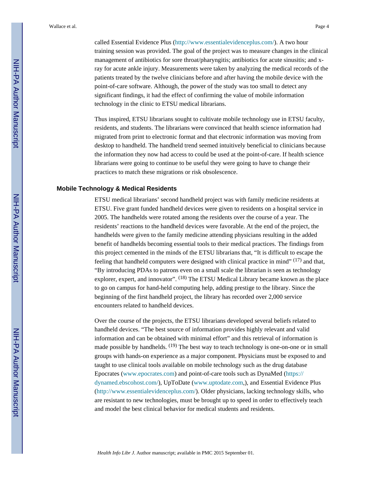called Essential Evidence Plus ([http://www.essentialevidenceplus.com/\)](http://www.essentialevidenceplus.com/). A two hour training session was provided. The goal of the project was to measure changes in the clinical management of antibiotics for sore throat/pharyngitis; antibiotics for acute sinusitis; and xray for acute ankle injury. Measurements were taken by analyzing the medical records of the patients treated by the twelve clinicians before and after having the mobile device with the point-of-care software. Although, the power of the study was too small to detect any significant findings, it had the effect of confirming the value of mobile information technology in the clinic to ETSU medical librarians.

Thus inspired, ETSU librarians sought to cultivate mobile technology use in ETSU faculty, residents, and students. The librarians were convinced that health science information had migrated from print to electronic format and that electronic information was moving from desktop to handheld. The handheld trend seemed intuitively beneficial to clinicians because the information they now had access to could be used at the point-of-care. If health science librarians were going to continue to be useful they were going to have to change their practices to match these migrations or risk obsolescence.

#### **Mobile Technology & Medical Residents**

ETSU medical librarians' second handheld project was with family medicine residents at ETSU. Five grant funded handheld devices were given to residents on a hospital service in 2005. The handhelds were rotated among the residents over the course of a year. The residents' reactions to the handheld devices were favorable. At the end of the project, the handhelds were given to the family medicine attending physicians resulting in the added benefit of handhelds becoming essential tools to their medical practices. The findings from this project cemented in the minds of the ETSU librarians that, "It is difficult to escape the feeling that handheld computers were designed with clinical practice in mind"  $(17)$  and that, "By introducing PDAs to patrons even on a small scale the librarian is seen as technology explorer, expert, and innovator". <sup>(18)</sup> The ETSU Medical Library became known as the place to go on campus for hand-held computing help, adding prestige to the library. Since the beginning of the first handheld project, the library has recorded over 2,000 service encounters related to handheld devices.

Over the course of the projects, the ETSU librarians developed several beliefs related to handheld devices. "The best source of information provides highly relevant and valid information and can be obtained with minimal effort" and this retrieval of information is made possible by handhelds.  $(19)$  The best way to teach technology is one-on-one or in small groups with hands-on experience as a major component. Physicians must be exposed to and taught to use clinical tools available on mobile technology such as the drug database Epocrates (www.epocrates.com) and point-of-care tools such as DynaMed ([https://](https://dynamed.ebscohost.com/) [dynamed.ebscohost.com/](https://dynamed.ebscohost.com/)), UpToDate (www.uptodate.com,), and Essential Evidence Plus [\(http://www.essentialevidenceplus.com/\)](http://www.essentialevidenceplus.com/). Older physicians, lacking technology skills, who are resistant to new technologies, must be brought up to speed in order to effectively teach and model the best clinical behavior for medical students and residents.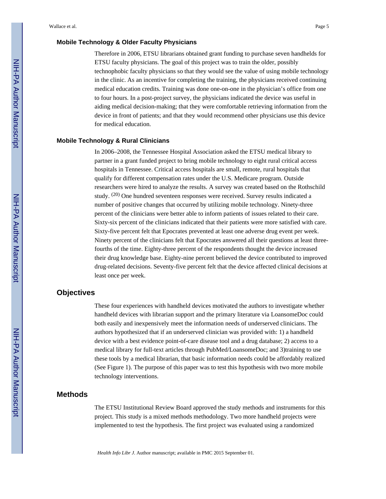#### **Mobile Technology & Older Faculty Physicians**

Therefore in 2006, ETSU librarians obtained grant funding to purchase seven handhelds for ETSU faculty physicians. The goal of this project was to train the older, possibly technophobic faculty physicians so that they would see the value of using mobile technology in the clinic. As an incentive for completing the training, the physicians received continuing medical education credits. Training was done one-on-one in the physician's office from one to four hours. In a post-project survey, the physicians indicated the device was useful in aiding medical decision-making; that they were comfortable retrieving information from the device in front of patients; and that they would recommend other physicians use this device for medical education.

#### **Mobile Technology & Rural Clinicians**

In 2006–2008, the Tennessee Hospital Association asked the ETSU medical library to partner in a grant funded project to bring mobile technology to eight rural critical access hospitals in Tennessee. Critical access hospitals are small, remote, rural hospitals that qualify for different compensation rates under the U.S. Medicare program. Outside researchers were hired to analyze the results. A survey was created based on the Rothschild study. (20) One hundred seventeen responses were received. Survey results indicated a number of positive changes that occurred by utilizing mobile technology. Ninety-three percent of the clinicians were better able to inform patients of issues related to their care. Sixty-six percent of the clinicians indicated that their patients were more satisfied with care. Sixty-five percent felt that Epocrates prevented at least one adverse drug event per week. Ninety percent of the clinicians felt that Epocrates answered all their questions at least threefourths of the time. Eighty-three percent of the respondents thought the device increased their drug knowledge base. Eighty-nine percent believed the device contributed to improved drug-related decisions. Seventy-five percent felt that the device affected clinical decisions at least once per week.

#### **Objectives**

These four experiences with handheld devices motivated the authors to investigate whether handheld devices with librarian support and the primary literature via LoansomeDoc could both easily and inexpensively meet the information needs of underserved clinicians. The authors hypothesized that if an underserved clinician was provided with: 1) a handheld device with a best evidence point-of-care disease tool and a drug database; 2) access to a medical library for full-text articles through PubMed/LoansomeDoc; and 3)training to use these tools by a medical librarian, that basic information needs could be affordably realized (See Figure 1). The purpose of this paper was to test this hypothesis with two more mobile technology interventions.

#### **Methods**

The ETSU Institutional Review Board approved the study methods and instruments for this project. This study is a mixed methods methodology. Two more handheld projects were implemented to test the hypothesis. The first project was evaluated using a randomized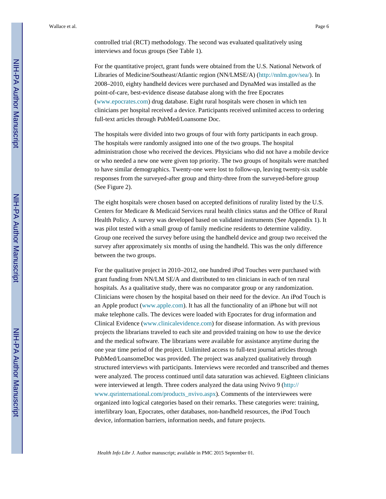controlled trial (RCT) methodology. The second was evaluated qualitatively using interviews and focus groups (See Table 1).

For the quantitative project, grant funds were obtained from the U.S. National Network of Libraries of Medicine/Southeast/Atlantic region (NN/LMSE/A) (<http://nnlm.gov/sea/>). In 2008–2010, eighty handheld devices were purchased and DynaMed was installed as the point-of-care, best-evidence disease database along with the free Epocrates (www.epocrates.com) drug database. Eight rural hospitals were chosen in which ten clinicians per hospital received a device. Participants received unlimited access to ordering full-text articles through PubMed/Loansome Doc.

The hospitals were divided into two groups of four with forty participants in each group. The hospitals were randomly assigned into one of the two groups. The hospital administration chose who received the devices. Physicians who did not have a mobile device or who needed a new one were given top priority. The two groups of hospitals were matched to have similar demographics. Twenty-one were lost to follow-up, leaving twenty-six usable responses from the surveyed-after group and thirty-three from the surveyed-before group (See Figure 2).

The eight hospitals were chosen based on accepted definitions of rurality listed by the U.S. Centers for Medicare & Medicaid Services rural health clinics status and the Office of Rural Health Policy. A survey was developed based on validated instruments (See Appendix 1). It was pilot tested with a small group of family medicine residents to determine validity. Group one received the survey before using the handheld device and group two received the survey after approximately six months of using the handheld. This was the only difference between the two groups.

For the qualitative project in 2010–2012, one hundred iPod Touches were purchased with grant funding from NN/LM SE/A and distributed to ten clinicians in each of ten rural hospitals. As a qualitative study, there was no comparator group or any randomization. Clinicians were chosen by the hospital based on their need for the device. An iPod Touch is an Apple product (www.apple.com). It has all the functionality of an iPhone but will not make telephone calls. The devices were loaded with Epocrates for drug information and Clinical Evidence (www.clinicalevidence.com) for disease information. As with previous projects the librarians traveled to each site and provided training on how to use the device and the medical software. The librarians were available for assistance anytime during the one year time period of the project. Unlimited access to full-text journal articles through PubMed/LoansomeDoc was provided. The project was analyzed qualitatively through structured interviews with participants. Interviews were recorded and transcribed and themes were analyzed. The process continued until data saturation was achieved. Eighteen clinicians were interviewed at length. Three coders analyzed the data using Nvivo 9 [\(http://](http://www.qsrinternational.com/products_nvivo.aspx) [www.qsrinternational.com/products\\_nvivo.aspx](http://www.qsrinternational.com/products_nvivo.aspx)). Comments of the interviewees were organized into logical categories based on their remarks. These categories were: training, interlibrary loan, Epocrates, other databases, non-handheld resources, the iPod Touch device, information barriers, information needs, and future projects.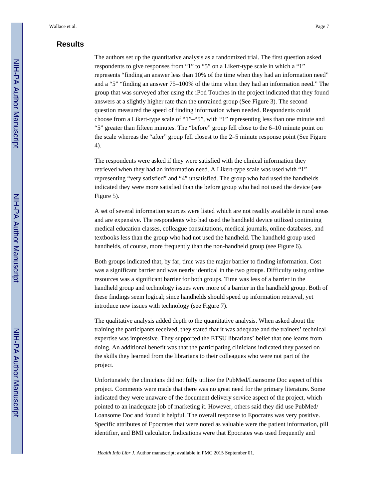#### **Results**

The authors set up the quantitative analysis as a randomized trial. The first question asked respondents to give responses from "1" to "5" on a Likert-type scale in which a "1" represents "finding an answer less than 10% of the time when they had an information need" and a "5" "finding an answer 75–100% of the time when they had an information need." The group that was surveyed after using the iPod Touches in the project indicated that they found answers at a slightly higher rate than the untrained group (See Figure 3). The second question measured the speed of finding information when needed. Respondents could choose from a Likert-type scale of "1"–"5", with "1" representing less than one minute and "5" greater than fifteen minutes. The "before" group fell close to the 6–10 minute point on the scale whereas the "after" group fell closest to the 2–5 minute response point (See Figure 4).

The respondents were asked if they were satisfied with the clinical information they retrieved when they had an information need. A Likert-type scale was used with "1" representing "very satisfied" and "4" unsatisfied. The group who had used the handhelds indicated they were more satisfied than the before group who had not used the device (see Figure 5).

A set of several information sources were listed which are not readily available in rural areas and are expensive. The respondents who had used the handheld device utilized continuing medical education classes, colleague consultations, medical journals, online databases, and textbooks less than the group who had not used the handheld. The handheld group used handhelds, of course, more frequently than the non-handheld group (see Figure 6).

Both groups indicated that, by far, time was the major barrier to finding information. Cost was a significant barrier and was nearly identical in the two groups. Difficulty using online resources was a significant barrier for both groups. Time was less of a barrier in the handheld group and technology issues were more of a barrier in the handheld group. Both of these findings seem logical; since handhelds should speed up information retrieval, yet introduce new issues with technology (see Figure 7).

The qualitative analysis added depth to the quantitative analysis. When asked about the training the participants received, they stated that it was adequate and the trainers' technical expertise was impressive. They supported the ETSU librarians' belief that one learns from doing. An additional benefit was that the participating clinicians indicated they passed on the skills they learned from the librarians to their colleagues who were not part of the project.

Unfortunately the clinicians did not fully utilize the PubMed/Loansome Doc aspect of this project. Comments were made that there was no great need for the primary literature. Some indicated they were unaware of the document delivery service aspect of the project, which pointed to an inadequate job of marketing it. However, others said they did use PubMed/ Loansome Doc and found it helpful. The overall response to Epocrates was very positive. Specific attributes of Epocrates that were noted as valuable were the patient information, pill identifier, and BMI calculator. Indications were that Epocrates was used frequently and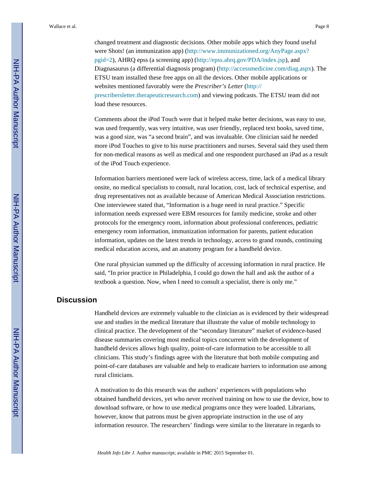changed treatment and diagnostic decisions. Other mobile apps which they found useful were Shots! (an immunization app) ([http://www.immunizationed.org/AnyPage.aspx?](http://www.immunizationed.org/AnyPage.aspx?pgid=2) [pgid=2](http://www.immunizationed.org/AnyPage.aspx?pgid=2)), AHRQ epss (a screening app) ([http://epss.ahrq.gov/PDA/index.jsp\)](http://epss.ahrq.gov/PDA/index.jsp), and Diagnasaurus (a differential diagnosis program) [\(http://accessmedicine.com/diag.aspx](http://accessmedicine.com/diag.aspx)). The ETSU team installed these free apps on all the devices. Other mobile applications or websites mentioned favorably were the *Prescriber's Letter* [\(http://](http://prescribersletter.therapeuticresearch.com) [prescribersletter.therapeuticresearch.com](http://prescribersletter.therapeuticresearch.com)) and viewing podcasts. The ETSU team did not load these resources.

Comments about the iPod Touch were that it helped make better decisions, was easy to use, was used frequently, was very intuitive, was user friendly, replaced text books, saved time, was a good size, was "a second brain", and was invaluable. One clinician said he needed more iPod Touches to give to his nurse practitioners and nurses. Several said they used them for non-medical reasons as well as medical and one respondent purchased an iPad as a result of the iPod Touch experience.

Information barriers mentioned were lack of wireless access, time, lack of a medical library onsite, no medical specialists to consult, rural location, cost, lack of technical expertise, and drug representatives not as available because of American Medical Association restrictions. One interviewee stated that, "Information is a huge need in rural practice." Specific information needs expressed were EBM resources for family medicine, stroke and other protocols for the emergency room, information about professional conferences, pediatric emergency room information, immunization information for parents, patient education information, updates on the latest trends in technology, access to grand rounds, continuing medical education access, and an anatomy program for a handheld device.

One rural physician summed up the difficulty of accessing information in rural practice. He said, "In prior practice in Philadelphia, I could go down the hall and ask the author of a textbook a question. Now, when I need to consult a specialist, there is only me."

#### **Discussion**

Handheld devices are extremely valuable to the clinician as is evidenced by their widespread use and studies in the medical literature that illustrate the value of mobile technology to clinical practice. The development of the "secondary literature" market of evidence-based disease summaries covering most medical topics concurrent with the development of handheld devices allows high quality, point-of-care information to be accessible to all clinicians. This study's findings agree with the literature that both mobile computing and point-of-care databases are valuable and help to eradicate barriers to information use among rural clinicians.

A motivation to do this research was the authors' experiences with populations who obtained handheld devices, yet who never received training on how to use the device, how to download software, or how to use medical programs once they were loaded. Librarians, however, know that patrons must be given appropriate instruction in the use of any information resource. The researchers' findings were similar to the literature in regards to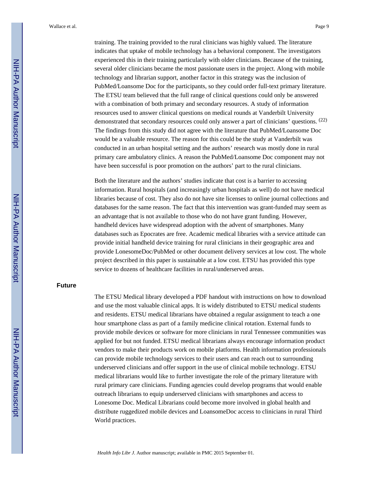training. The training provided to the rural clinicians was highly valued. The literature indicates that uptake of mobile technology has a behavioral component. The investigators experienced this in their training particularly with older clinicians. Because of the training, several older clinicians became the most passionate users in the project. Along with mobile technology and librarian support, another factor in this strategy was the inclusion of PubMed/Loansome Doc for the participants, so they could order full-text primary literature. The ETSU team believed that the full range of clinical questions could only be answered with a combination of both primary and secondary resources. A study of information resources used to answer clinical questions on medical rounds at Vanderbilt University demonstrated that secondary resources could only answer a part of clinicians' questions. <sup>(22)</sup> The findings from this study did not agree with the literature that PubMed/Loansome Doc would be a valuable resource. The reason for this could be the study at Vanderbilt was conducted in an urban hospital setting and the authors' research was mostly done in rural primary care ambulatory clinics. A reason the PubMed/Loansome Doc component may not have been successful is poor promotion on the authors' part to the rural clinicians.

Both the literature and the authors' studies indicate that cost is a barrier to accessing information. Rural hospitals (and increasingly urban hospitals as well) do not have medical libraries because of cost. They also do not have site licenses to online journal collections and databases for the same reason. The fact that this intervention was grant-funded may seem as an advantage that is not available to those who do not have grant funding. However, handheld devices have widespread adoption with the advent of smartphones. Many databases such as Epocrates are free. Academic medical libraries with a service attitude can provide initial handheld device training for rural clinicians in their geographic area and provide LonesomeDoc/PubMed or other document delivery services at low cost. The whole project described in this paper is sustainable at a low cost. ETSU has provided this type service to dozens of healthcare facilities in rural/underserved areas.

#### **Future**

The ETSU Medical library developed a PDF handout with instructions on how to download and use the most valuable clinical apps. It is widely distributed to ETSU medical students and residents. ETSU medical librarians have obtained a regular assignment to teach a one hour smartphone class as part of a family medicine clinical rotation. External funds to provide mobile devices or software for more clinicians in rural Tennessee communities was applied for but not funded. ETSU medical librarians always encourage information product vendors to make their products work on mobile platforms. Health information professionals can provide mobile technology services to their users and can reach out to surrounding underserved clinicians and offer support in the use of clinical mobile technology. ETSU medical librarians would like to further investigate the role of the primary literature with rural primary care clinicians. Funding agencies could develop programs that would enable outreach librarians to equip underserved clinicians with smartphones and access to Lonesome Doc. Medical Librarians could become more involved in global health and distribute ruggedized mobile devices and LoansomeDoc access to clinicians in rural Third World practices.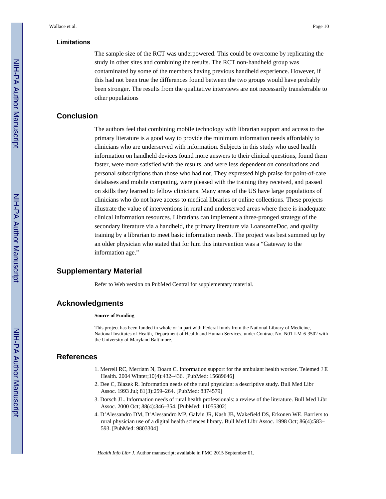#### **Limitations**

The sample size of the RCT was underpowered. This could be overcome by replicating the study in other sites and combining the results. The RCT non-handheld group was contaminated by some of the members having previous handheld experience. However, if this had not been true the differences found between the two groups would have probably been stronger. The results from the qualitative interviews are not necessarily transferrable to other populations

#### **Conclusion**

The authors feel that combining mobile technology with librarian support and access to the primary literature is a good way to provide the minimum information needs affordably to clinicians who are underserved with information. Subjects in this study who used health information on handheld devices found more answers to their clinical questions, found them faster, were more satisfied with the results, and were less dependent on consultations and personal subscriptions than those who had not. They expressed high praise for point-of-care databases and mobile computing, were pleased with the training they received, and passed on skills they learned to fellow clinicians. Many areas of the US have large populations of clinicians who do not have access to medical libraries or online collections. These projects illustrate the value of interventions in rural and underserved areas where there is inadequate clinical information resources. Librarians can implement a three-pronged strategy of the secondary literature via a handheld, the primary literature via LoansomeDoc, and quality training by a librarian to meet basic information needs. The project was best summed up by an older physician who stated that for him this intervention was a "Gateway to the information age."

#### **Supplementary Material**

Refer to Web version on PubMed Central for supplementary material.

#### **Acknowledgments**

#### **Source of Funding**

This project has been funded in whole or in part with Federal funds from the National Library of Medicine, National Institutes of Health, Department of Health and Human Services, under Contract No. N01-LM-6-3502 with the University of Maryland Baltimore.

#### **References**

- 1. Merrell RC, Merriam N, Doarn C. Information support for the ambulant health worker. Telemed J E Health. 2004 Winter;10(4):432–436. [PubMed: 15689646]
- 2. Dee C, Blazek R. Information needs of the rural physician: a descriptive study. Bull Med Libr Assoc. 1993 Jul; 81(3):259–264. [PubMed: 8374579]
- 3. Dorsch JL. Information needs of rural health professionals: a review of the literature. Bull Med Libr Assoc. 2000 Oct; 88(4):346–354. [PubMed: 11055302]
- 4. D'Alessandro DM, D'Alessandro MP, Galvin JR, Kash JB, Wakefield DS, Erkonen WE. Barriers to rural physician use of a digital health sciences library. Bull Med Libr Assoc. 1998 Oct; 86(4):583– 593. [PubMed: 9803304]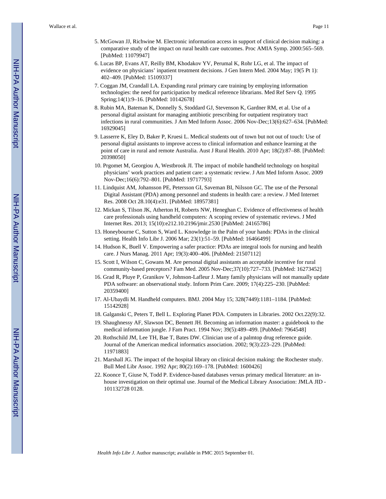- 5. McGowan JJ, Richwine M. Electronic information access in support of clinical decision making: a comparative study of the impact on rural health care outcomes. Proc AMIA Symp. 2000:565–569. [PubMed: 11079947]
- 6. Lucas BP, Evans AT, Reilly BM, Khodakov YV, Perumal K, Rohr LG, et al. The impact of evidence on physicians' inpatient treatment decisions. J Gen Intern Med. 2004 May; 19(5 Pt 1): 402–409. [PubMed: 15109337]
- 7. Coggan JM, Crandall LA. Expanding rural primary care training by employing information technologies: the need for participation by medical reference librarians. Med Ref Serv Q. 1995 Spring;14(1):9–16. [PubMed: 10142678]
- 8. Rubin MA, Bateman K, Donnelly S, Stoddard GJ, Stevenson K, Gardner RM, et al. Use of a personal digital assistant for managing antibiotic prescribing for outpatient respiratory tract infections in rural communities. J Am Med Inform Assoc. 2006 Nov-Dec;13(6):627–634. [PubMed: 16929045]
- 9. Lasserre K, Eley D, Baker P, Kruesi L. Medical students out of town but not out of touch: Use of personal digital assistants to improve access to clinical information and enhance learning at the point of care in rural and remote Australia. Aust J Rural Health. 2010 Apr; 18(2):87–88. [PubMed: 20398050]
- 10. Prgomet M, Georgiou A, Westbrook JI. The impact of mobile handheld technology on hospital physicians' work practices and patient care: a systematic review. J Am Med Inform Assoc. 2009 Nov-Dec;16(6):792–801. [PubMed: 19717793]
- 11. Lindquist AM, Johansson PE, Petersson GI, Saveman BI, Nilsson GC. The use of the Personal Digital Assistant (PDA) among personnel and students in health care: a review. J Med Internet Res. 2008 Oct 28.10(4):e31. [PubMed: 18957381]
- 12. Mickan S, Tilson JK, Atherton H, Roberts NW, Heneghan C. Evidence of effectiveness of health care professionals using handheld computers: A scoping review of systematic reviews. J Med Internet Res. 2013; 15(10):e212.10.2196/jmir.2530 [PubMed: 24165786]
- 13. Honeybourne C, Sutton S, Ward L. Knowledge in the Palm of your hands: PDAs in the clinical setting. Health Info Libr J. 2006 Mar; 23(1):51–59. [PubMed: 16466499]
- 14. Hudson K, Buell V. Empowering a safer practice: PDAs are integral tools for nursing and health care. J Nurs Manag. 2011 Apr; 19(3):400–406. [PubMed: 21507112]
- 15. Scott I, Wilson C, Gowans M. Are personal digital assistants an acceptable incentive for rural community-based preceptors? Fam Med. 2005 Nov-Dec;37(10):727–733. [PubMed: 16273452]
- 16. Grad R, Pluye P, Granikov V, Johnson-Lafleur J. Many family physicians will not manually update PDA software: an observational study. Inform Prim Care. 2009; 17(4):225–230. [PubMed: 20359400]
- 17. Al-Ubaydli M. Handheld computers. BMJ. 2004 May 15; 328(7449):1181–1184. [PubMed: 15142928]
- 18. Galganski C, Peters T, Bell L. Exploring Planet PDA. Computers in Libraries. 2002 Oct.22(9):32.
- 19. Shaughnessy AF, Slawson DC, Bennett JH. Becoming an information master: a guidebook to the medical information jungle. J Fam Pract. 1994 Nov; 39(5):489–499. [PubMed: 7964548]
- 20. Rothschild JM, Lee TH, Bae T, Bates DW. Clinician use of a palmtop drug reference guide. Journal of the American medical informatics association. 2002; 9(3):223–229. [PubMed: 11971883]
- 21. Marshall JG. The impact of the hospital library on clinical decision making: the Rochester study. Bull Med Libr Assoc. 1992 Apr; 80(2):169–178. [PubMed: 1600426]
- 22. Koonce T, Giuse N, Todd P. Evidence-based databases versus primary medical literature: an inhouse investigation on their optimal use. Journal of the Medical Library Association: JMLA JID - 101132728 0128.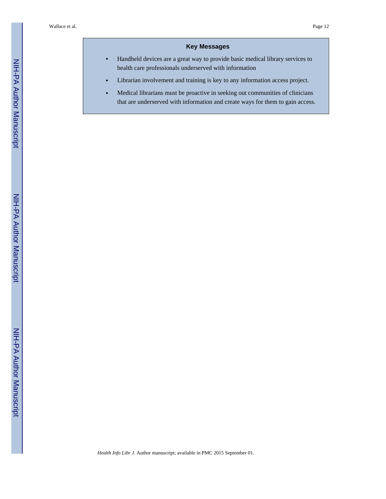#### **Key Messages**

- **•** Handheld devices are a great way to provide basic medical library services to health care professionals underserved with information
- **•** Librarian involvement and training is key to any information access project.
- **•** Medical librarians must be proactive in seeking out communities of clinicians that are underserved with information and create ways for them to gain access.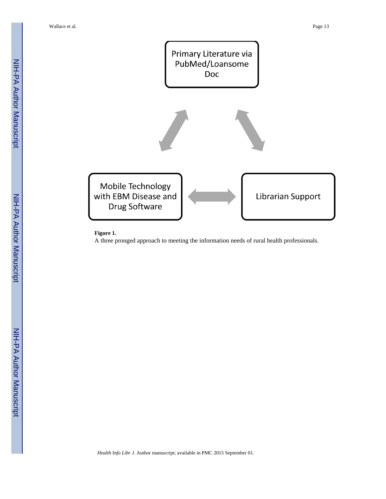

#### **Figure 1.**

A three pronged approach to meeting the information needs of rural health professionals.

NIH-PA Author Manuscript

**NIH-PA Author Manuscript**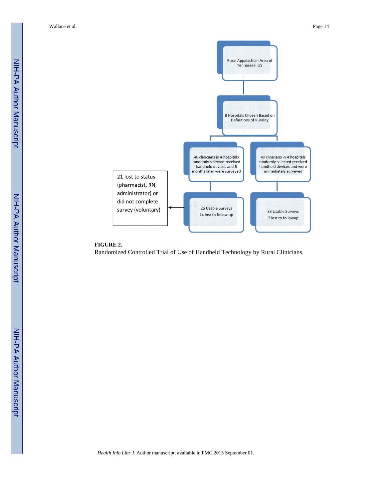

#### **FIGURE 2.**

Randomized Controlled Trial of Use of Handheld Technology by Rural Clinicians.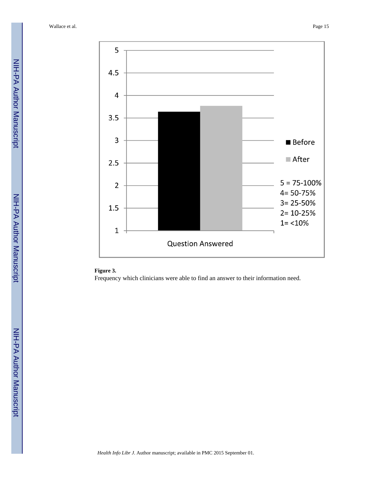

#### **Figure 3.**

Frequency which clinicians were able to find an answer to their information need.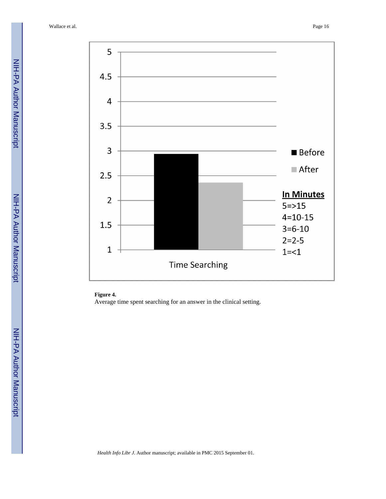

#### **Figure 4.**

Average time spent searching for an answer in the clinical setting.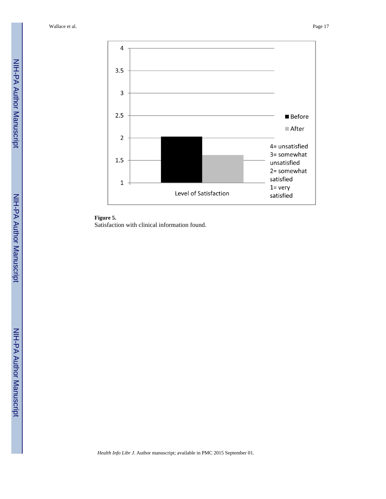



Satisfaction with clinical information found.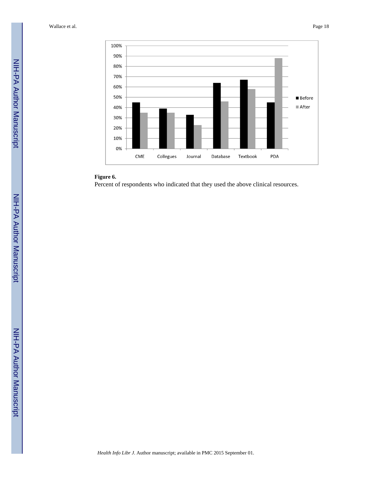

#### **Figure 6.**

Percent of respondents who indicated that they used the above clinical resources.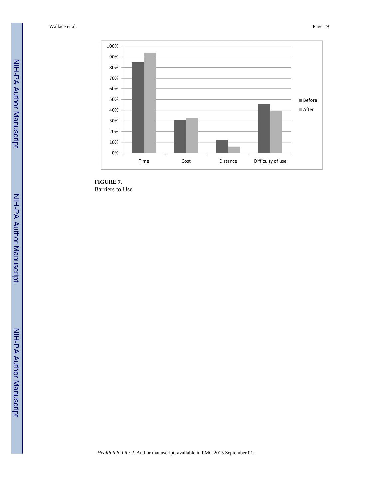

**FIGURE 7.** Barriers to Use